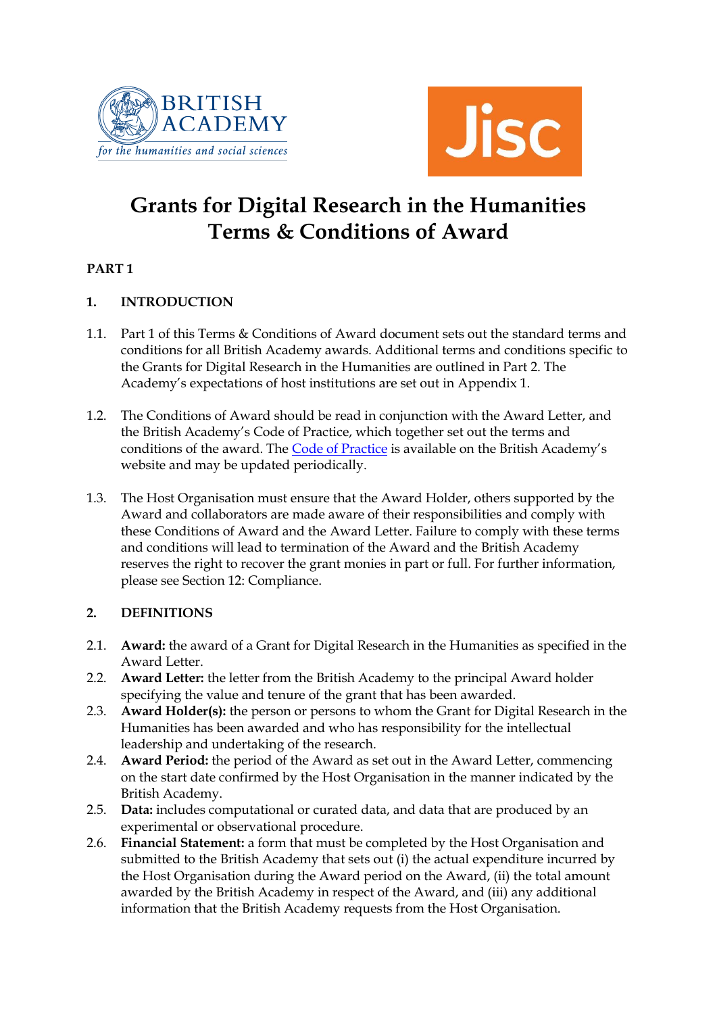



# **Grants for Digital Research in the Humanities Terms & Conditions of Award**

## **PART 1**

## **1. INTRODUCTION**

- 1.1. Part 1 of this Terms & Conditions of Award document sets out the standard terms and conditions for all British Academy awards. Additional terms and conditions specific to the Grants for Digital Research in the Humanities are outlined in Part 2. The Academy's expectations of host institutions are set out in Appendix 1.
- 1.2. The Conditions of Award should be read in conjunction with the Award Letter, and the British Academy's Code of Practice, which together set out the terms and conditions of the award. The [Code of Practice](http://www.britac.ac.uk/funding/codepractice.cfm) is available on the British Academy's website and may be updated periodically.
- 1.3. The Host Organisation must ensure that the Award Holder, others supported by the Award and collaborators are made aware of their responsibilities and comply with these Conditions of Award and the Award Letter. Failure to comply with these terms and conditions will lead to termination of the Award and the British Academy reserves the right to recover the grant monies in part or full. For further information, please see Section 12: Compliance.

## **2. DEFINITIONS**

- 2.1. **Award:** the award of a Grant for Digital Research in the Humanities as specified in the Award Letter.
- 2.2. **Award Letter:** the letter from the British Academy to the principal Award holder specifying the value and tenure of the grant that has been awarded.
- 2.3. **Award Holder(s):** the person or persons to whom the Grant for Digital Research in the Humanities has been awarded and who has responsibility for the intellectual leadership and undertaking of the research.
- 2.4. **Award Period:** the period of the Award as set out in the Award Letter, commencing on the start date confirmed by the Host Organisation in the manner indicated by the British Academy.
- 2.5. **Data:** includes computational or curated data, and data that are produced by an experimental or observational procedure.
- 2.6. **Financial Statement:** a form that must be completed by the Host Organisation and submitted to the British Academy that sets out (i) the actual expenditure incurred by the Host Organisation during the Award period on the Award, (ii) the total amount awarded by the British Academy in respect of the Award, and (iii) any additional information that the British Academy requests from the Host Organisation.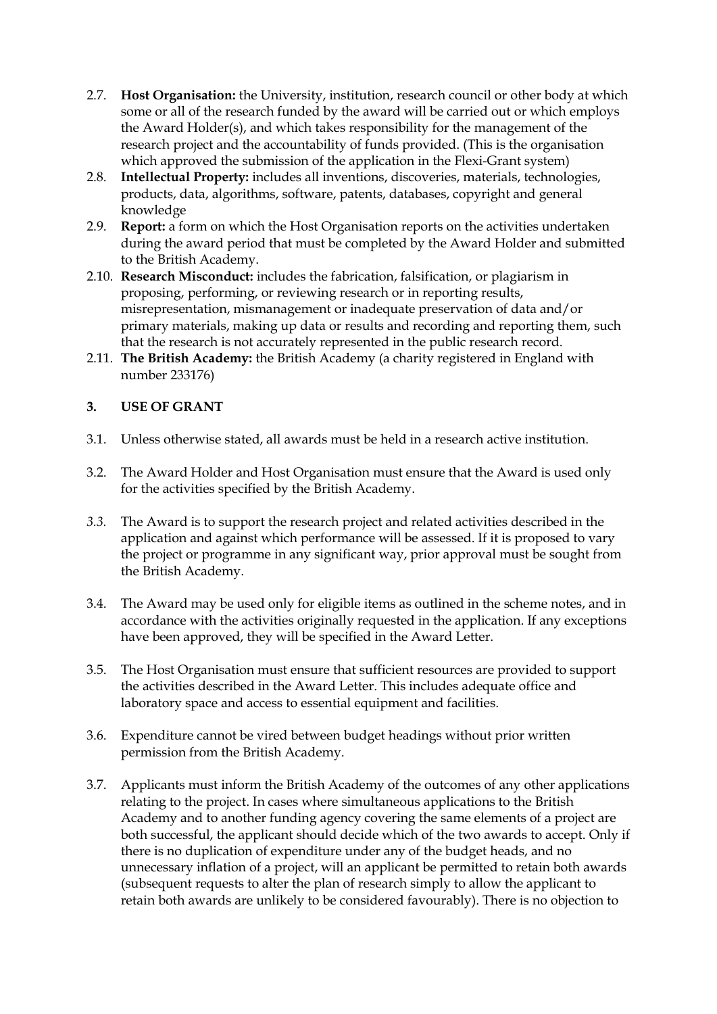- 2.7. **Host Organisation:** the University, institution, research council or other body at which some or all of the research funded by the award will be carried out or which employs the Award Holder(s), and which takes responsibility for the management of the research project and the accountability of funds provided. (This is the organisation which approved the submission of the application in the Flexi-Grant system)
- 2.8. **Intellectual Property:** includes all inventions, discoveries, materials, technologies, products, data, algorithms, software, patents, databases, copyright and general knowledge
- 2.9. **Report:** a form on which the Host Organisation reports on the activities undertaken during the award period that must be completed by the Award Holder and submitted to the British Academy.
- 2.10. **Research Misconduct:** includes the fabrication, falsification, or plagiarism in proposing, performing, or reviewing research or in reporting results, misrepresentation, mismanagement or inadequate preservation of data and/or primary materials, making up data or results and recording and reporting them, such that the research is not accurately represented in the public research record.
- 2.11. **The British Academy:** the British Academy (a charity registered in England with number 233176)

## **3. USE OF GRANT**

- 3.1. Unless otherwise stated, all awards must be held in a research active institution.
- 3.2. The Award Holder and Host Organisation must ensure that the Award is used only for the activities specified by the British Academy.
- *3.3.* The Award is to support the research project and related activities described in the application and against which performance will be assessed. If it is proposed to vary the project or programme in any significant way, prior approval must be sought from the British Academy.
- 3.4. The Award may be used only for eligible items as outlined in the scheme notes, and in accordance with the activities originally requested in the application. If any exceptions have been approved, they will be specified in the Award Letter.
- 3.5. The Host Organisation must ensure that sufficient resources are provided to support the activities described in the Award Letter. This includes adequate office and laboratory space and access to essential equipment and facilities.
- 3.6. Expenditure cannot be vired between budget headings without prior written permission from the British Academy.
- 3.7. Applicants must inform the British Academy of the outcomes of any other applications relating to the project. In cases where simultaneous applications to the British Academy and to another funding agency covering the same elements of a project are both successful, the applicant should decide which of the two awards to accept. Only if there is no duplication of expenditure under any of the budget heads, and no unnecessary inflation of a project, will an applicant be permitted to retain both awards (subsequent requests to alter the plan of research simply to allow the applicant to retain both awards are unlikely to be considered favourably). There is no objection to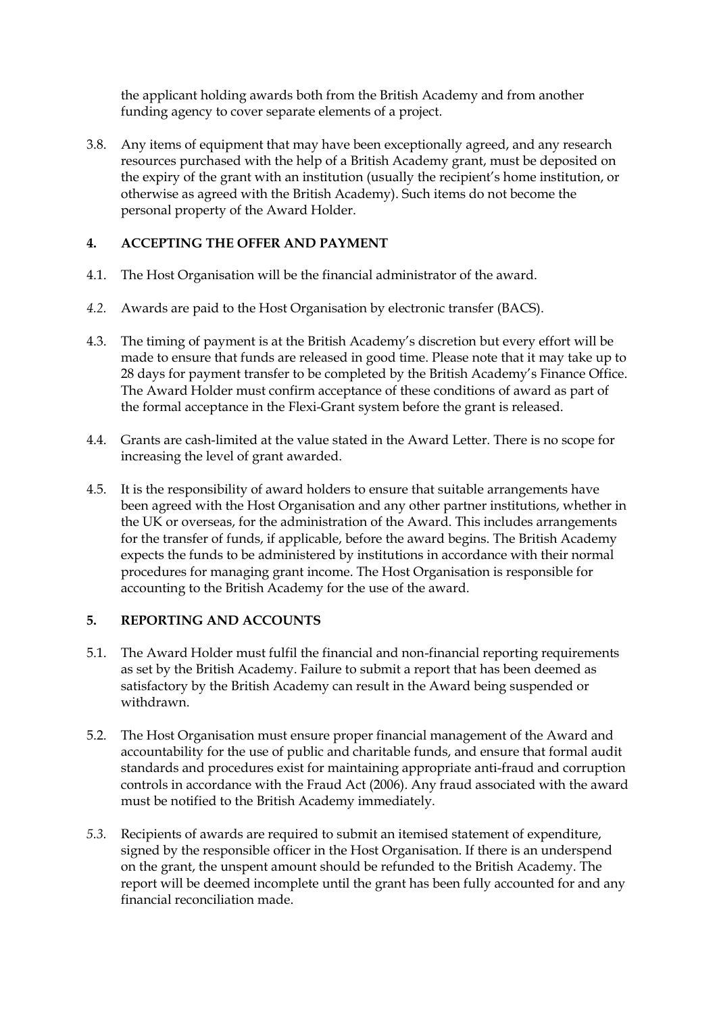the applicant holding awards both from the British Academy and from another funding agency to cover separate elements of a project.

3.8. Any items of equipment that may have been exceptionally agreed, and any research resources purchased with the help of a British Academy grant, must be deposited on the expiry of the grant with an institution (usually the recipient's home institution, or otherwise as agreed with the British Academy). Such items do not become the personal property of the Award Holder.

## **4. ACCEPTING THE OFFER AND PAYMENT**

- 4.1. The Host Organisation will be the financial administrator of the award.
- *4.2.* Awards are paid to the Host Organisation by electronic transfer (BACS).
- 4.3. The timing of payment is at the British Academy's discretion but every effort will be made to ensure that funds are released in good time. Please note that it may take up to 28 days for payment transfer to be completed by the British Academy's Finance Office. The Award Holder must confirm acceptance of these conditions of award as part of the formal acceptance in the Flexi-Grant system before the grant is released.
- 4.4. Grants are cash-limited at the value stated in the Award Letter. There is no scope for increasing the level of grant awarded.
- 4.5. It is the responsibility of award holders to ensure that suitable arrangements have been agreed with the Host Organisation and any other partner institutions, whether in the UK or overseas, for the administration of the Award. This includes arrangements for the transfer of funds, if applicable, before the award begins. The British Academy expects the funds to be administered by institutions in accordance with their normal procedures for managing grant income. The Host Organisation is responsible for accounting to the British Academy for the use of the award.

## **5. REPORTING AND ACCOUNTS**

- 5.1. The Award Holder must fulfil the financial and non-financial reporting requirements as set by the British Academy. Failure to submit a report that has been deemed as satisfactory by the British Academy can result in the Award being suspended or withdrawn.
- 5.2. The Host Organisation must ensure proper financial management of the Award and accountability for the use of public and charitable funds, and ensure that formal audit standards and procedures exist for maintaining appropriate anti-fraud and corruption controls in accordance with the Fraud Act (2006). Any fraud associated with the award must be notified to the British Academy immediately.
- *5.3.* Recipients of awards are required to submit an itemised statement of expenditure, signed by the responsible officer in the Host Organisation. If there is an underspend on the grant, the unspent amount should be refunded to the British Academy. The report will be deemed incomplete until the grant has been fully accounted for and any financial reconciliation made.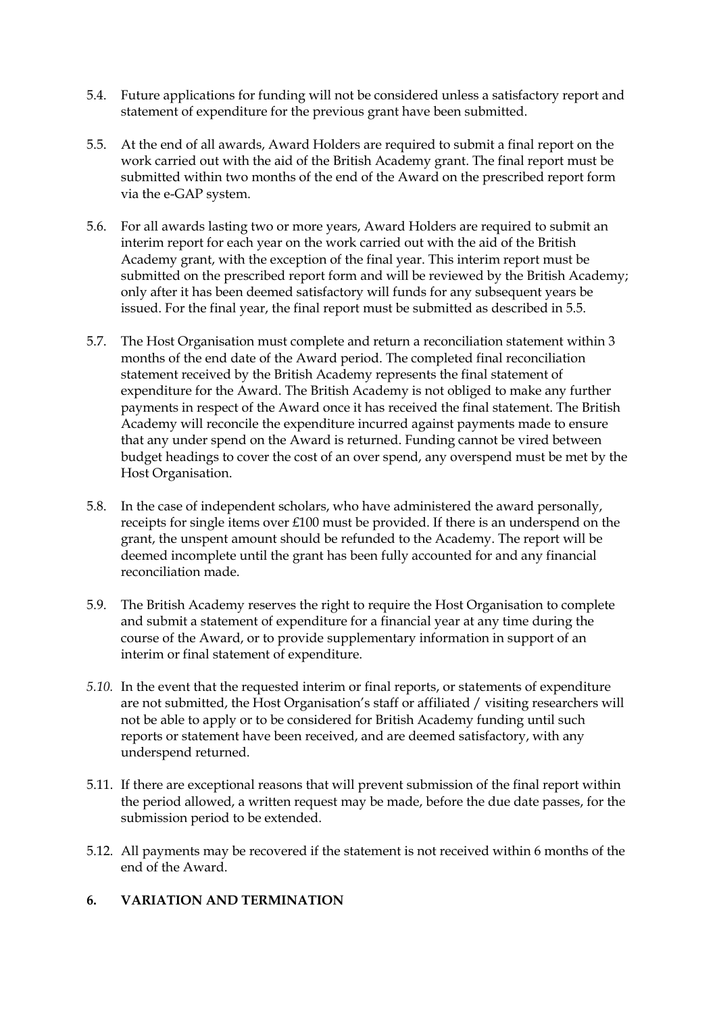- 5.4. Future applications for funding will not be considered unless a satisfactory report and statement of expenditure for the previous grant have been submitted.
- 5.5. At the end of all awards, Award Holders are required to submit a final report on the work carried out with the aid of the British Academy grant. The final report must be submitted within two months of the end of the Award on the prescribed report form via the e-GAP system.
- 5.6. For all awards lasting two or more years, Award Holders are required to submit an interim report for each year on the work carried out with the aid of the British Academy grant, with the exception of the final year. This interim report must be submitted on the prescribed report form and will be reviewed by the British Academy; only after it has been deemed satisfactory will funds for any subsequent years be issued. For the final year, the final report must be submitted as described in 5.5.
- 5.7. The Host Organisation must complete and return a reconciliation statement within 3 months of the end date of the Award period. The completed final reconciliation statement received by the British Academy represents the final statement of expenditure for the Award. The British Academy is not obliged to make any further payments in respect of the Award once it has received the final statement. The British Academy will reconcile the expenditure incurred against payments made to ensure that any under spend on the Award is returned. Funding cannot be vired between budget headings to cover the cost of an over spend, any overspend must be met by the Host Organisation.
- 5.8. In the case of independent scholars, who have administered the award personally, receipts for single items over £100 must be provided. If there is an underspend on the grant, the unspent amount should be refunded to the Academy. The report will be deemed incomplete until the grant has been fully accounted for and any financial reconciliation made.
- 5.9. The British Academy reserves the right to require the Host Organisation to complete and submit a statement of expenditure for a financial year at any time during the course of the Award, or to provide supplementary information in support of an interim or final statement of expenditure.
- *5.10.* In the event that the requested interim or final reports, or statements of expenditure are not submitted, the Host Organisation's staff or affiliated / visiting researchers will not be able to apply or to be considered for British Academy funding until such reports or statement have been received, and are deemed satisfactory, with any underspend returned.
- 5.11. If there are exceptional reasons that will prevent submission of the final report within the period allowed, a written request may be made, before the due date passes, for the submission period to be extended.
- 5.12. All payments may be recovered if the statement is not received within 6 months of the end of the Award.

## **6. VARIATION AND TERMINATION**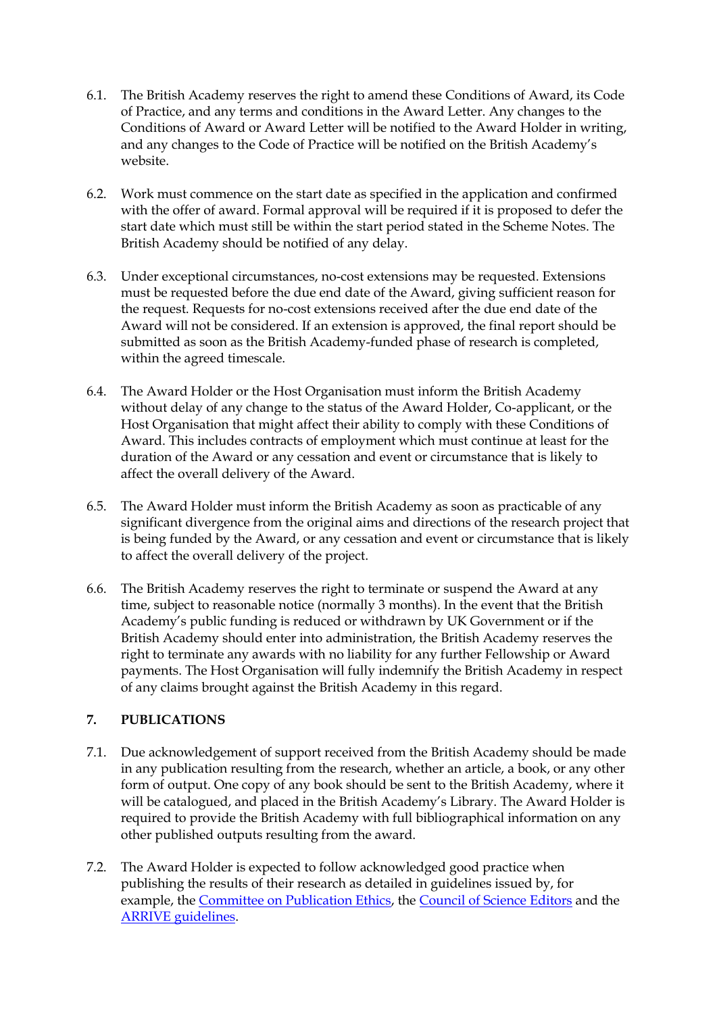- 6.1. The British Academy reserves the right to amend these Conditions of Award, its Code of Practice, and any terms and conditions in the Award Letter. Any changes to the Conditions of Award or Award Letter will be notified to the Award Holder in writing, and any changes to the Code of Practice will be notified on the British Academy's website.
- 6.2. Work must commence on the start date as specified in the application and confirmed with the offer of award. Formal approval will be required if it is proposed to defer the start date which must still be within the start period stated in the Scheme Notes. The British Academy should be notified of any delay.
- 6.3. Under exceptional circumstances, no-cost extensions may be requested. Extensions must be requested before the due end date of the Award, giving sufficient reason for the request. Requests for no-cost extensions received after the due end date of the Award will not be considered. If an extension is approved, the final report should be submitted as soon as the British Academy-funded phase of research is completed, within the agreed timescale.
- 6.4. The Award Holder or the Host Organisation must inform the British Academy without delay of any change to the status of the Award Holder, Co-applicant, or the Host Organisation that might affect their ability to comply with these Conditions of Award. This includes contracts of employment which must continue at least for the duration of the Award or any cessation and event or circumstance that is likely to affect the overall delivery of the Award.
- 6.5. The Award Holder must inform the British Academy as soon as practicable of any significant divergence from the original aims and directions of the research project that is being funded by the Award, or any cessation and event or circumstance that is likely to affect the overall delivery of the project.
- 6.6. The British Academy reserves the right to terminate or suspend the Award at any time, subject to reasonable notice (normally 3 months). In the event that the British Academy's public funding is reduced or withdrawn by UK Government or if the British Academy should enter into administration, the British Academy reserves the right to terminate any awards with no liability for any further Fellowship or Award payments. The Host Organisation will fully indemnify the British Academy in respect of any claims brought against the British Academy in this regard.

## **7. PUBLICATIONS**

- 7.1. Due acknowledgement of support received from the British Academy should be made in any publication resulting from the research, whether an article, a book, or any other form of output. One copy of any book should be sent to the British Academy, where it will be catalogued, and placed in the British Academy's Library. The Award Holder is required to provide the British Academy with full bibliographical information on any other published outputs resulting from the award.
- 7.2. The Award Holder is expected to follow acknowledged good practice when publishing the results of their research as detailed in guidelines issued by, for example, the [Committee on Publication Ethics,](http://publicationethics.org/) the [Council of Science Editors](http://www.councilscienceeditors.org/i4a/pages/index.cfm?pageid=1) and the [ARRIVE guidelines.](https://www.nc3rs.org.uk/arrive-guidelines)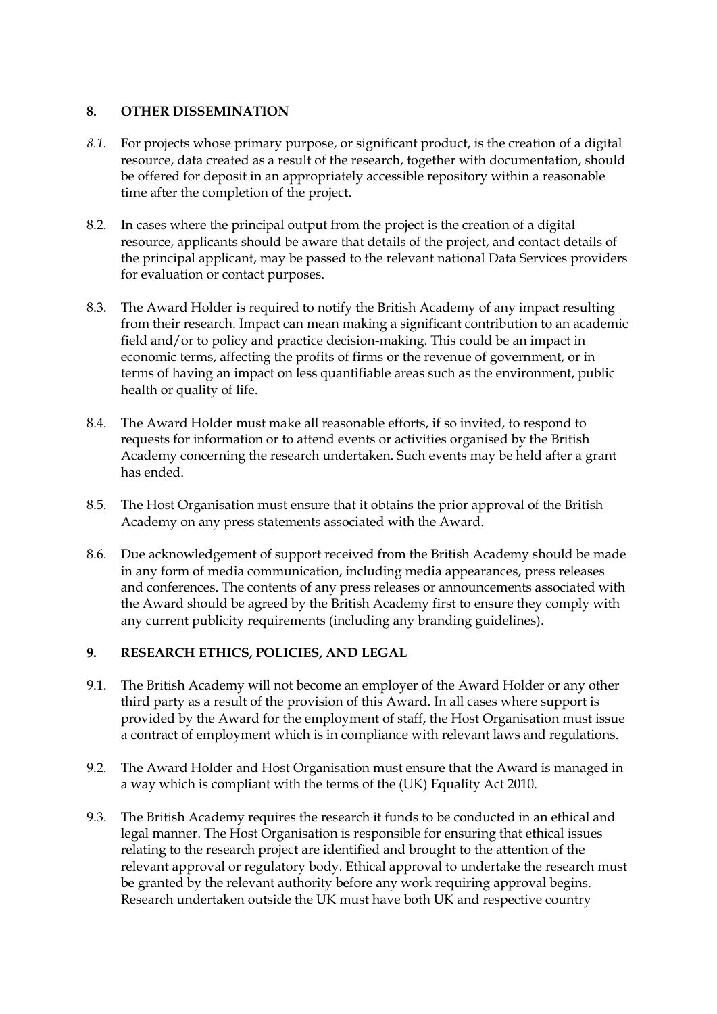## **8. OTHER DISSEMINATION**

- *8.1.* For projects whose primary purpose, or significant product, is the creation of a digital resource, data created as a result of the research, together with documentation, should be offered for deposit in an appropriately accessible repository within a reasonable time after the completion of the project.
- 8.2. In cases where the principal output from the project is the creation of a digital resource, applicants should be aware that details of the project, and contact details of the principal applicant, may be passed to the relevant national Data Services providers for evaluation or contact purposes.
- 8.3. The Award Holder is required to notify the British Academy of any impact resulting from their research. Impact can mean making a significant contribution to an academic field and/or to policy and practice decision-making. This could be an impact in economic terms, affecting the profits of firms or the revenue of government, or in terms of having an impact on less quantifiable areas such as the environment, public health or quality of life.
- 8.4. The Award Holder must make all reasonable efforts, if so invited, to respond to requests for information or to attend events or activities organised by the British Academy concerning the research undertaken. Such events may be held after a grant has ended.
- 8.5. The Host Organisation must ensure that it obtains the prior approval of the British Academy on any press statements associated with the Award.
- 8.6. Due acknowledgement of support received from the British Academy should be made in any form of media communication, including media appearances, press releases and conferences. The contents of any press releases or announcements associated with the Award should be agreed by the British Academy first to ensure they comply with any current publicity requirements (including any branding guidelines).

## **9. RESEARCH ETHICS, POLICIES, AND LEGAL**

- 9.1. The British Academy will not become an employer of the Award Holder or any other third party as a result of the provision of this Award. In all cases where support is provided by the Award for the employment of staff, the Host Organisation must issue a contract of employment which is in compliance with relevant laws and regulations.
- 9.2. The Award Holder and Host Organisation must ensure that the Award is managed in a way which is compliant with the terms of the (UK) Equality Act 2010.
- 9.3. The British Academy requires the research it funds to be conducted in an ethical and legal manner. The Host Organisation is responsible for ensuring that ethical issues relating to the research project are identified and brought to the attention of the relevant approval or regulatory body. Ethical approval to undertake the research must be granted by the relevant authority before any work requiring approval begins. Research undertaken outside the UK must have both UK and respective country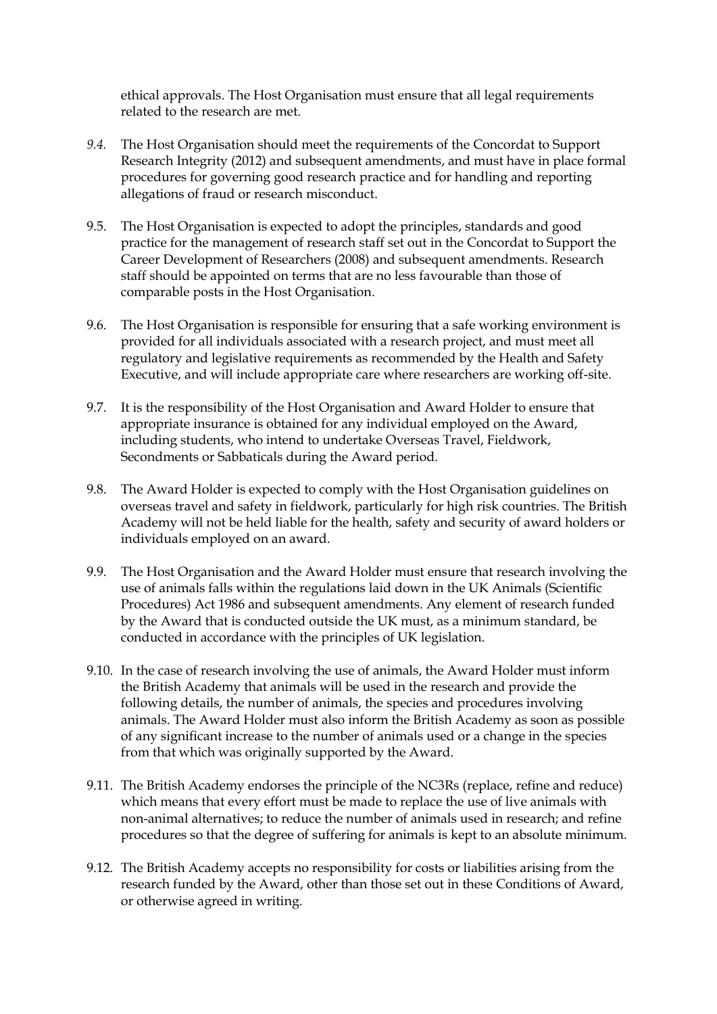ethical approvals. The Host Organisation must ensure that all legal requirements related to the research are met.

- *9.4.* The Host Organisation should meet the requirements of the Concordat to Support Research Integrity (2012) and subsequent amendments, and must have in place formal procedures for governing good research practice and for handling and reporting allegations of fraud or research misconduct.
- 9.5. The Host Organisation is expected to adopt the principles, standards and good practice for the management of research staff set out in the Concordat to Support the Career Development of Researchers (2008) and subsequent amendments. Research staff should be appointed on terms that are no less favourable than those of comparable posts in the Host Organisation.
- 9.6. The Host Organisation is responsible for ensuring that a safe working environment is provided for all individuals associated with a research project, and must meet all regulatory and legislative requirements as recommended by the Health and Safety Executive, and will include appropriate care where researchers are working off-site.
- 9.7. It is the responsibility of the Host Organisation and Award Holder to ensure that appropriate insurance is obtained for any individual employed on the Award, including students, who intend to undertake Overseas Travel, Fieldwork, Secondments or Sabbaticals during the Award period.
- 9.8. The Award Holder is expected to comply with the Host Organisation guidelines on overseas travel and safety in fieldwork, particularly for high risk countries. The British Academy will not be held liable for the health, safety and security of award holders or individuals employed on an award.
- 9.9. The Host Organisation and the Award Holder must ensure that research involving the use of animals falls within the regulations laid down in the UK Animals (Scientific Procedures) Act 1986 and subsequent amendments. Any element of research funded by the Award that is conducted outside the UK must, as a minimum standard, be conducted in accordance with the principles of UK legislation.
- 9.10. In the case of research involving the use of animals, the Award Holder must inform the British Academy that animals will be used in the research and provide the following details, the number of animals, the species and procedures involving animals. The Award Holder must also inform the British Academy as soon as possible of any significant increase to the number of animals used or a change in the species from that which was originally supported by the Award.
- 9.11. The British Academy endorses the principle of the NC3Rs (replace, refine and reduce) which means that every effort must be made to replace the use of live animals with non-animal alternatives; to reduce the number of animals used in research; and refine procedures so that the degree of suffering for animals is kept to an absolute minimum.
- 9.12. The British Academy accepts no responsibility for costs or liabilities arising from the research funded by the Award, other than those set out in these Conditions of Award, or otherwise agreed in writing.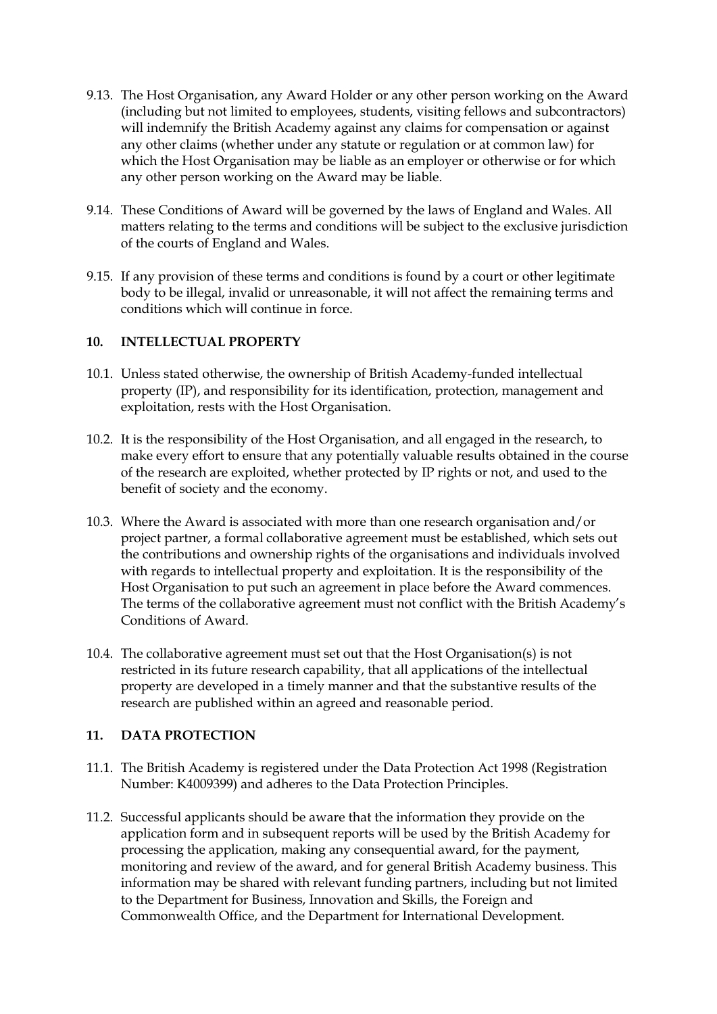- 9.13. The Host Organisation, any Award Holder or any other person working on the Award (including but not limited to employees, students, visiting fellows and subcontractors) will indemnify the British Academy against any claims for compensation or against any other claims (whether under any statute or regulation or at common law) for which the Host Organisation may be liable as an employer or otherwise or for which any other person working on the Award may be liable.
- 9.14. These Conditions of Award will be governed by the laws of England and Wales. All matters relating to the terms and conditions will be subject to the exclusive jurisdiction of the courts of England and Wales.
- 9.15. If any provision of these terms and conditions is found by a court or other legitimate body to be illegal, invalid or unreasonable, it will not affect the remaining terms and conditions which will continue in force.

## **10. INTELLECTUAL PROPERTY**

- 10.1. Unless stated otherwise, the ownership of British Academy-funded intellectual property (IP), and responsibility for its identification, protection, management and exploitation, rests with the Host Organisation.
- 10.2. It is the responsibility of the Host Organisation, and all engaged in the research, to make every effort to ensure that any potentially valuable results obtained in the course of the research are exploited, whether protected by IP rights or not, and used to the benefit of society and the economy.
- 10.3. Where the Award is associated with more than one research organisation and/or project partner, a formal collaborative agreement must be established, which sets out the contributions and ownership rights of the organisations and individuals involved with regards to intellectual property and exploitation. It is the responsibility of the Host Organisation to put such an agreement in place before the Award commences. The terms of the collaborative agreement must not conflict with the British Academy's Conditions of Award.
- 10.4. The collaborative agreement must set out that the Host Organisation(s) is not restricted in its future research capability, that all applications of the intellectual property are developed in a timely manner and that the substantive results of the research are published within an agreed and reasonable period.

## **11. DATA PROTECTION**

- 11.1. The British Academy is registered under the Data Protection Act 1998 (Registration Number: K4009399) and adheres to the Data Protection Principles.
- 11.2. Successful applicants should be aware that the information they provide on the application form and in subsequent reports will be used by the British Academy for processing the application, making any consequential award, for the payment, monitoring and review of the award, and for general British Academy business. This information may be shared with relevant funding partners, including but not limited to the Department for Business, Innovation and Skills, the Foreign and Commonwealth Office, and the Department for International Development.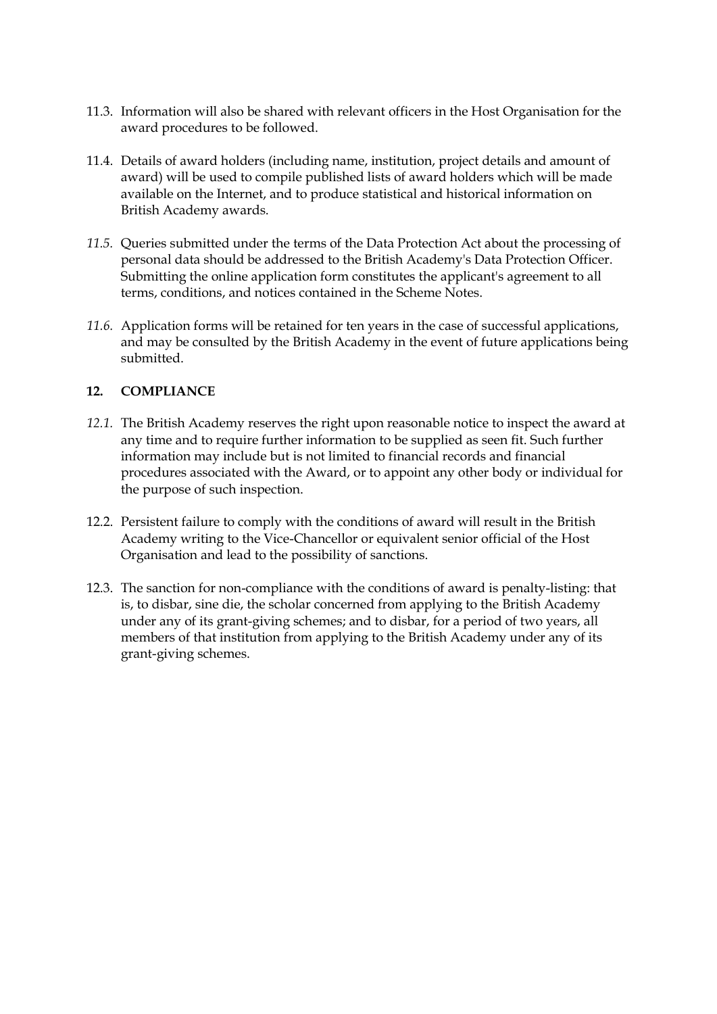- 11.3. Information will also be shared with relevant officers in the Host Organisation for the award procedures to be followed.
- 11.4. Details of award holders (including name, institution, project details and amount of award) will be used to compile published lists of award holders which will be made available on the Internet, and to produce statistical and historical information on British Academy awards.
- *11.5.* Queries submitted under the terms of the Data Protection Act about the processing of personal data should be addressed to the British Academy's Data Protection Officer. Submitting the online application form constitutes the applicant's agreement to all terms, conditions, and notices contained in the Scheme Notes.
- *11.6.* Application forms will be retained for ten years in the case of successful applications, and may be consulted by the British Academy in the event of future applications being submitted.

## **12. COMPLIANCE**

- *12.1.* The British Academy reserves the right upon reasonable notice to inspect the award at any time and to require further information to be supplied as seen fit. Such further information may include but is not limited to financial records and financial procedures associated with the Award, or to appoint any other body or individual for the purpose of such inspection.
- 12.2. Persistent failure to comply with the conditions of award will result in the British Academy writing to the Vice-Chancellor or equivalent senior official of the Host Organisation and lead to the possibility of sanctions.
- 12.3. The sanction for non-compliance with the conditions of award is penalty-listing: that is, to disbar, sine die, the scholar concerned from applying to the British Academy under any of its grant-giving schemes; and to disbar, for a period of two years, all members of that institution from applying to the British Academy under any of its grant-giving schemes.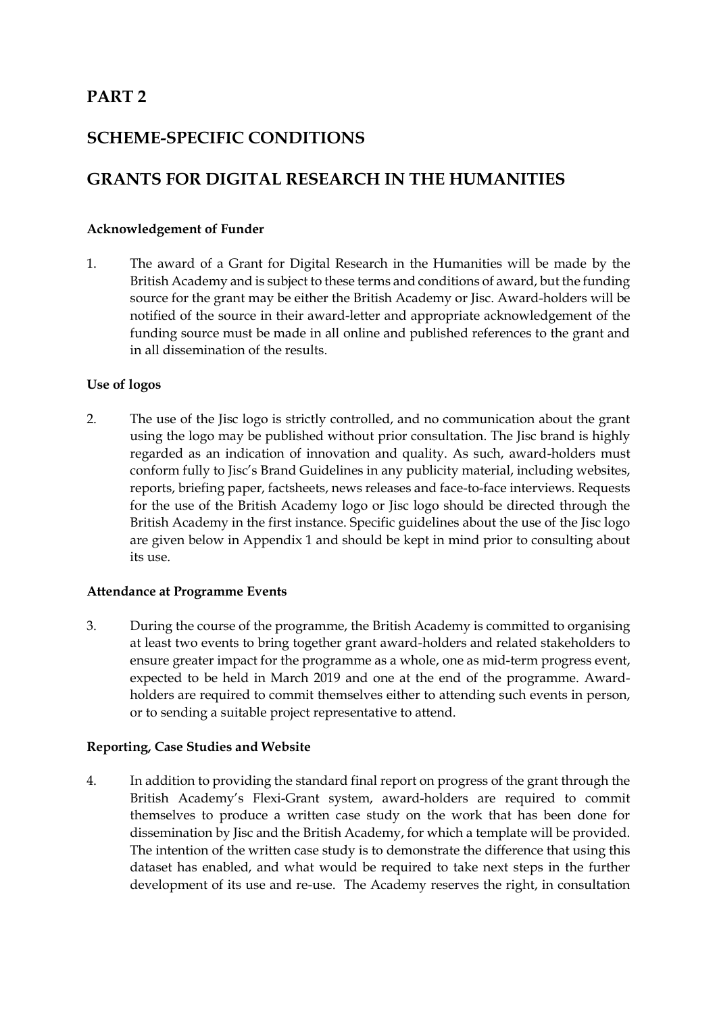## **PART 2**

## **SCHEME-SPECIFIC CONDITIONS**

## **GRANTS FOR DIGITAL RESEARCH IN THE HUMANITIES**

### **Acknowledgement of Funder**

1. The award of a Grant for Digital Research in the Humanities will be made by the British Academy and is subject to these terms and conditions of award, but the funding source for the grant may be either the British Academy or Jisc. Award-holders will be notified of the source in their award-letter and appropriate acknowledgement of the funding source must be made in all online and published references to the grant and in all dissemination of the results.

### **Use of logos**

2. The use of the Jisc logo is strictly controlled, and no communication about the grant using the logo may be published without prior consultation. The Jisc brand is highly regarded as an indication of innovation and quality. As such, award-holders must conform fully to Jisc's Brand Guidelines in any publicity material, including websites, reports, briefing paper, factsheets, news releases and face-to-face interviews. Requests for the use of the British Academy logo or Jisc logo should be directed through the British Academy in the first instance. Specific guidelines about the use of the Jisc logo are given below in Appendix 1 and should be kept in mind prior to consulting about its use.

### **Attendance at Programme Events**

3. During the course of the programme, the British Academy is committed to organising at least two events to bring together grant award-holders and related stakeholders to ensure greater impact for the programme as a whole, one as mid-term progress event, expected to be held in March 2019 and one at the end of the programme. Awardholders are required to commit themselves either to attending such events in person, or to sending a suitable project representative to attend.

### **Reporting, Case Studies and Website**

4. In addition to providing the standard final report on progress of the grant through the British Academy's Flexi-Grant system, award-holders are required to commit themselves to produce a written case study on the work that has been done for dissemination by Jisc and the British Academy, for which a template will be provided. The intention of the written case study is to demonstrate the difference that using this dataset has enabled, and what would be required to take next steps in the further development of its use and re-use. The Academy reserves the right, in consultation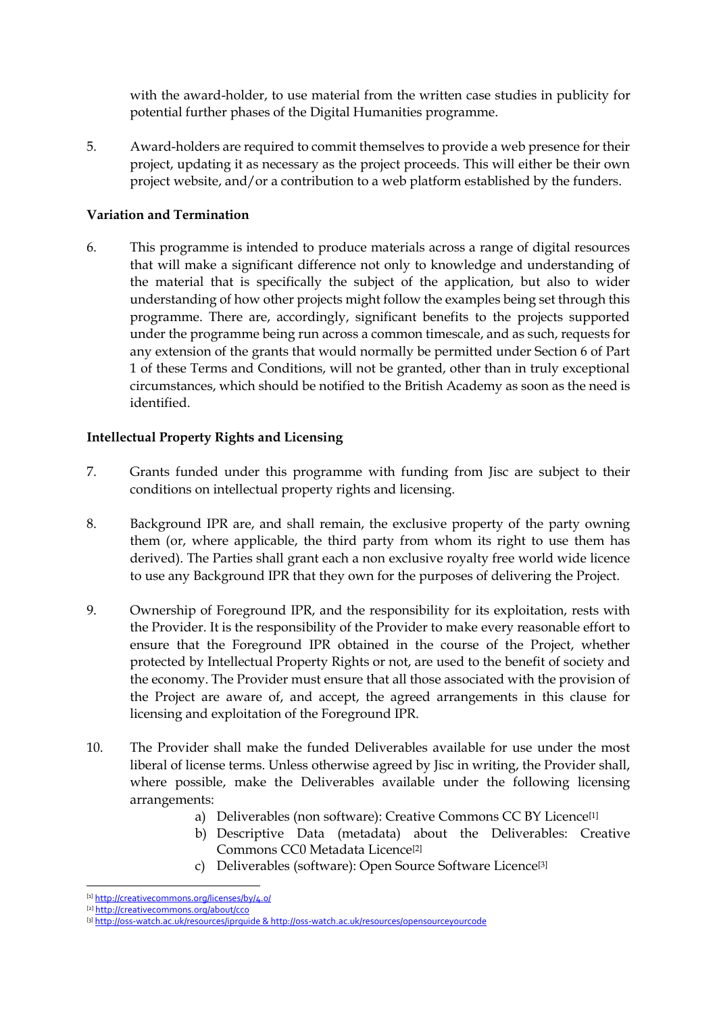with the award-holder, to use material from the written case studies in publicity for potential further phases of the Digital Humanities programme.

5. Award-holders are required to commit themselves to provide a web presence for their project, updating it as necessary as the project proceeds. This will either be their own project website, and/or a contribution to a web platform established by the funders.

## **Variation and Termination**

6. This programme is intended to produce materials across a range of digital resources that will make a significant difference not only to knowledge and understanding of the material that is specifically the subject of the application, but also to wider understanding of how other projects might follow the examples being set through this programme. There are, accordingly, significant benefits to the projects supported under the programme being run across a common timescale, and as such, requests for any extension of the grants that would normally be permitted under Section 6 of Part 1 of these Terms and Conditions, will not be granted, other than in truly exceptional circumstances, which should be notified to the British Academy as soon as the need is identified.

## **Intellectual Property Rights and Licensing**

- 7. Grants funded under this programme with funding from Jisc are subject to their conditions on intellectual property rights and licensing.
- 8. Background IPR are, and shall remain, the exclusive property of the party owning them (or, where applicable, the third party from whom its right to use them has derived). The Parties shall grant each a non exclusive royalty free world wide licence to use any Background IPR that they own for the purposes of delivering the Project.
- 9. Ownership of Foreground IPR, and the responsibility for its exploitation, rests with the Provider. It is the responsibility of the Provider to make every reasonable effort to ensure that the Foreground IPR obtained in the course of the Project, whether protected by Intellectual Property Rights or not, are used to the benefit of society and the economy. The Provider must ensure that all those associated with the provision of the Project are aware of, and accept, the agreed arrangements in this clause for licensing and exploitation of the Foreground IPR.
- 10. The Provider shall make the funded Deliverables available for use under the most liberal of license terms. Unless otherwise agreed by Jisc in writing, the Provider shall, where possible, make the Deliverables available under the following licensing arrangements:
	- a) Deliverables (non software): Creative Commons CC BY Licence<sup>[1]</sup>
	- b) Descriptive Data (metadata) about the Deliverables: Creative Commons CC0 Metadata Licence[2]
	- c) Deliverables (software): Open Source Software Licence[3]

-

<sup>[1]</sup> http://creativecommons.org/licenses/by/4.o/

<sup>[2]</sup> <http://creativecommons.org/about/cc0>

<sup>[3]</sup> http://oss-watch.ac.uk/resources/iprquide [& http://oss-watch.ac.uk/resources/opensourceyourcode](http://oss-watch.ac.uk/resources/opensourceyourcode)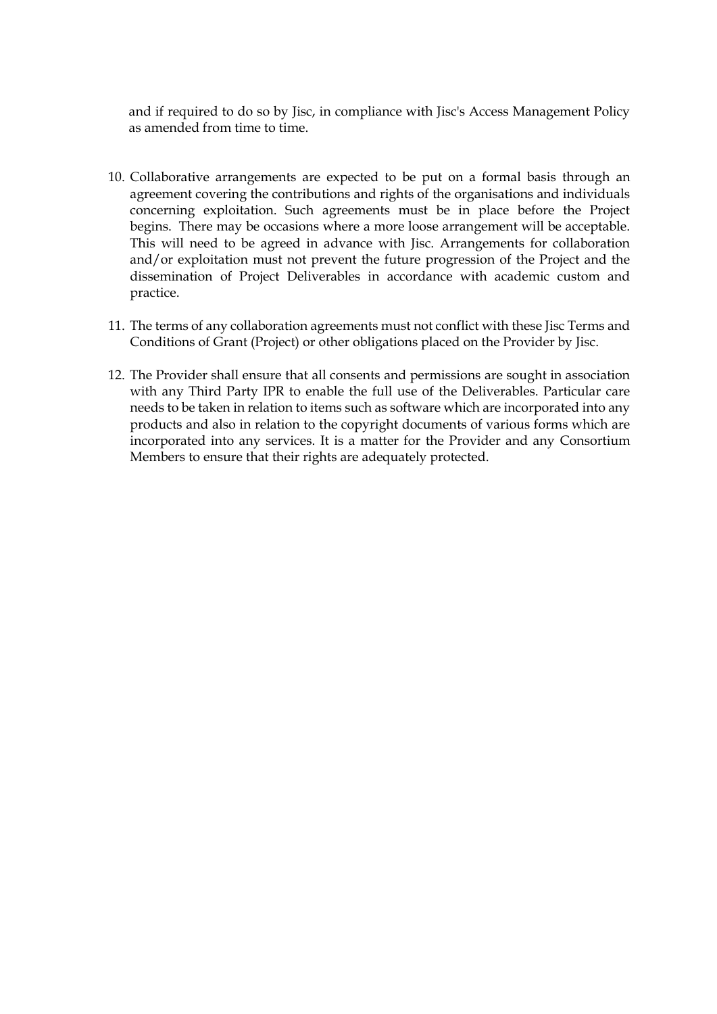and if required to do so by Jisc, in compliance with Jisc's Access Management Policy as amended from time to time.

- 10. Collaborative arrangements are expected to be put on a formal basis through an agreement covering the contributions and rights of the organisations and individuals concerning exploitation. Such agreements must be in place before the Project begins. There may be occasions where a more loose arrangement will be acceptable. This will need to be agreed in advance with Jisc. Arrangements for collaboration and/or exploitation must not prevent the future progression of the Project and the dissemination of Project Deliverables in accordance with academic custom and practice.
- 11. The terms of any collaboration agreements must not conflict with these Jisc Terms and Conditions of Grant (Project) or other obligations placed on the Provider by Jisc.
- 12. The Provider shall ensure that all consents and permissions are sought in association with any Third Party IPR to enable the full use of the Deliverables. Particular care needs to be taken in relation to items such as software which are incorporated into any products and also in relation to the copyright documents of various forms which are incorporated into any services. It is a matter for the Provider and any Consortium Members to ensure that their rights are adequately protected.